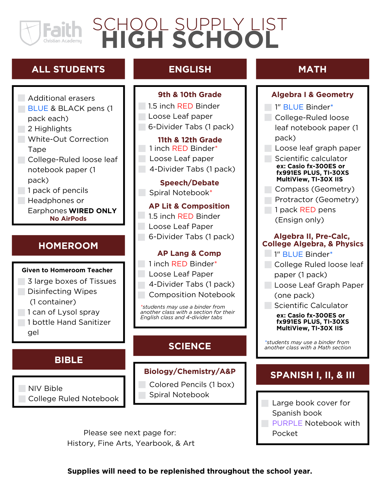# **HIGH SCHOOL** SCHOOL SUPPLY LIST

### **ALL STUDENTS**

Additional erasers **BLUE & BLACK pens (1)** pack each)  $\overline{\phantom{a}}$  2 Highlights **White-Out Correction Tape** College-Ruled loose leaf notebook paper (1 pack) 1 pack of pencils Headphones or Earphones **WIRED ONLY No AirPods**

### **HOMEROOM**

#### **Given to Homeroom Teacher**

- 3 large boxes of Tissues **Disinfecting Wipes** (1 container)
- 1 can of Lysol spray
- 1 bottle Hand Sanitizer gel

### **BIBLE**

NIV Bible College Ruled Notebook

### **ENGLISH**

**9th & 10th Grade**

1.5 inch RED Binder Loose Leaf paper 6-Divider Tabs (1 pack)

**11th & 12th Grade** 1 inch RED Binder\* **Loose Leaf paper** 4-Divider Tabs (1 pack)

**Speech/Debate** Spiral Notebook\*

**AP Lit & Composition** 1.5 inch RED Binder Loose Leaf Paper 6-Divider Tabs (1 pack)

#### **AP Lang & Comp**

1 inch RED Binder\*

- Loose Leaf Paper
- 4-Divider Tabs (1 pack)

Composition Notebook

*\*students may use a binder from another class with a section for their English class and 4-divider tabs*

Colored Pencils (1 box) Spiral Notebook

Please see next page for: History, Fine Arts, Yearbook, & Art

### **MATH**

### **Algebra I & Geometry**

1" BLUE Binder\*

- College-Ruled loose leaf notebook paper (1 pack)
- Loose leaf graph paper
- Scientific calculator **ex: Casio fx-300ES or fx991ES PLUS, TI-30XS MultiView, TI-30X IIS**
- Compass (Geometry)
- Protractor (Geometry)
- 1 pack RED pens (Ensign only)

#### **Algebra II, Pre-Calc, College Algebra, & Physics**

- 1" BLUE Binder\*
- College Ruled loose leaf paper (1 pack)
- Loose Leaf Graph Paper
	- (one pack)
- Scientific Calculator

#### **ex: Casio fx-300ES or fx991ES PLUS, TI-30XS MultiView, TI-30X IIS**

*\*students may use <sup>a</sup> binder from* **SCIENCE** *another class with <sup>a</sup> Math section*

## **Biology/Chemistry/A&P SPANISH I, II, & III**

- Large book cover for Spanish book **PURPLE Notebook with** 
	- Pocket

**Supplies will need to be replenished throughout the school year.**